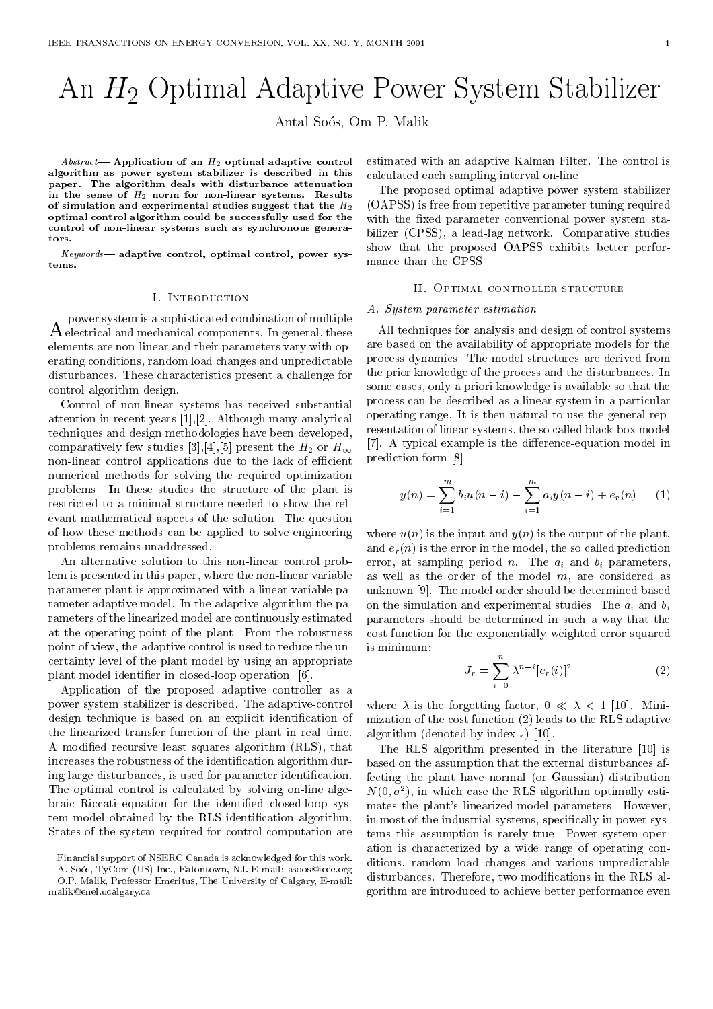# An H2 Optimal Adaptive Power System Stabilizer

Antal Soos, Om P. Malik

Abstract— Application of an  $H_2$  optimal adaptive control algorithm as power system stabilizer is described in this paper. The algorithm deals with disturbance attenuation in the sense of  $H_2$  norm for non-linear systems. Results of simulation and experimental studies suggest that the  $H_2$ optimal control algorithm could be successfully used for the control of non-linear systems such as synchronous generators.

Keywords- adaptive control, optimal control, power systems.

#### I. Introduction

 $A$  electrical and mechanical components. In general, these  $A$ power system is a sophisticated combination of multiple elements are non-linear and their parameters vary with operating conditions, random load changes and unpredictable disturbances. These characteristics present a challenge for control algorithm design.

Control of non-linear systems has received substantial attention in recent years [1],[2]. Although many analytical techniques and design methodologies have been developed, comparatively few studies [3], [4], [5] present the  $H_2$  or  $H_{\infty}$ non-linear control applications due to the lack of efficient numerical methods for solving the required optimization problems. In these studies the structure of the plant is restricted to a minimal structure needed to show the relevant mathematical aspects of the solution. The question of how these methods can be applied to solve engineering problems remains unaddressed.

An alternative solution to this non-linear control problem is presented in this paper, where the non-linear variable parameter plant is approximated with a linear variable parameter adaptive model. In the adaptive algorithm the parameters of the linearized model are continuously estimated at the operating point of the plant. From the robustness point of view, the adaptive control is used to reduce the uncertainty level of the plant model by using an appropriate plant model identifier in closed-loop operation [6].

Application of the proposed adaptive controller as a power system stabilizer is described. The adaptive-control design technique is based on an explicit identification of the linearized transfer function of the plant in real time. A modied recursive least squares algorithm (RLS), that increases the robustness of the identification algorithm during large disturbances, is used for parameter identification. The optimal control is calculated by solving on-line algebraic Riccati equation for the identied closed-loop system model obtained by the RLS identification algorithm. States of the system required for control computation are

Financial support of NSERC Canada is acknowledged for this work. A. Soós, TyCom (US) Inc., Eatontown, NJ. E-mail: asoos@ieee.org O.P. Malik, Professor Emeritus, The University of Calgary, E-mail:

malika energy and all properties are all the contract of the contract of the contract of the contract of the c

estimated with an adaptive Kalman Filter. The control is calculated each sampling interval on-line.

The proposed optimal adaptive power system stabilizer (OAPSS) is free from repetitive parameter tuning required with the fixed parameter conventional power system stabilizer (CPSS), a lead-lag network. Comparative studies show that the proposed OAPSS exhibits better performance than the CPSS.

#### II. Optimal controller structure

### A. System parameter estimation

All techniques for analysis and design of control systems are based on the availability of appropriate models for the process dynamics. The model structures are derived from the prior knowledge of the process and the disturbances. In some cases, only a priori knowledge is available so that the process can be described as a linear system in a particular operating range. It is then natural to use the general representation of linear systems, the so called black-box model  $[7]$ . A typical example is the difference-equation model in prediction form [8]:

$$
y(n) = \sum_{i=1}^{m} b_i u(n-i) - \sum_{i=1}^{m} a_i y(n-i) + e_r(n) \qquad (1)
$$

where  $u(n)$  is the input and  $y(n)$  is the output of the plant, and  $e_r(n)$  is the error in the model, the so called prediction error, at sampling period *n*. The  $a_i$  and  $b_i$  parameters, as well as the order of the model  $m$ , are considered as unknown [9]. The model order should be determined based on the simulation and experimental studies. The  $a_i$  and  $b_i$ parameters should be determined in such a way that the cost function for the exponentially weighted error squared is minimum:

$$
J_r = \sum_{i=0}^{n} \lambda^{n-i} [e_r(i)]^2
$$
 (2)

where  $\lambda$  is the forgetting factor,  $0 \ll \lambda < 1$  [10]. Minimization of the cost function (2) leads to the RLS adaptive algorithm (denoted by index r ) is a set of  $\mathcal{U}$  and  $\mathcal{U}$ 

The RLS algorithm presented in the literature [10] is based on the assumption that the external disturbances affecting the plant have normal (or Gaussian) distribution  $N(0, \sigma)$ , in which case the RLS algorithm optimally estimates the plant's linearized-model parameters. However, in most of the industrial systems, specifically in power systems this assumption is rarely true. Power system operation is characterized by a wide range of operating conditions, random load changes and various unpredictable disturbances. Therefore, two modications in the RLS algorithm are introduced to achieve better performance even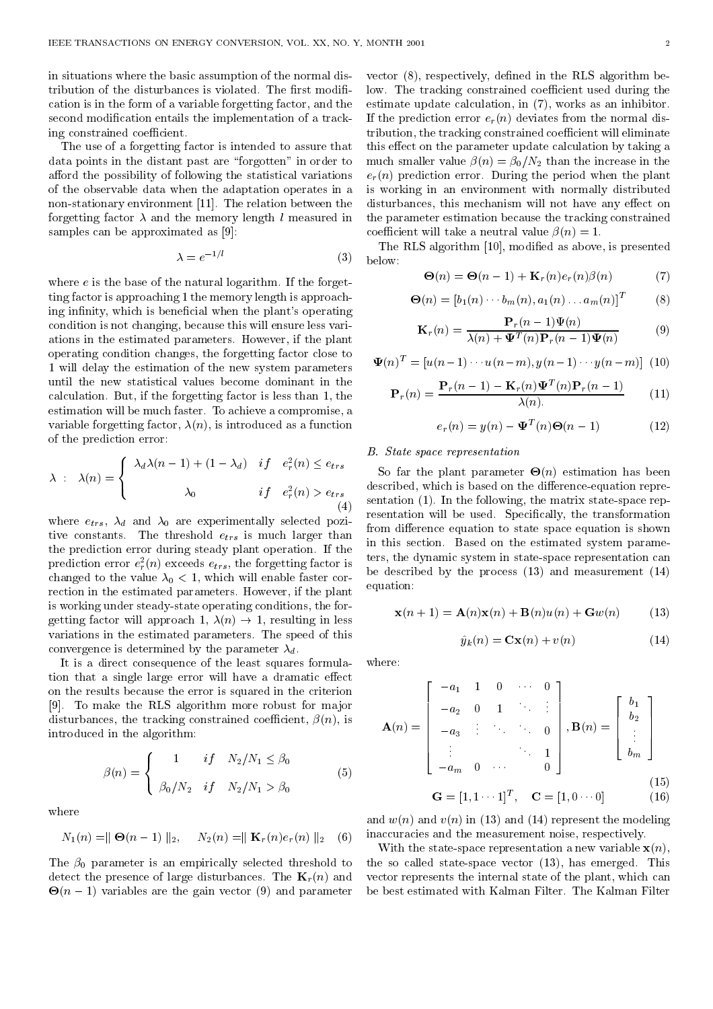in situations where the basic assumption of the normal distribution of the disturbances is violated. The first modification is in the form of a variable forgetting factor, and the second modification entails the implementation of a tracking constrained coefficient.

The use of a forgetting factor is intended to assure that data points in the distant past are \forgotten" in order to afford the possibility of following the statistical variations of the observable data when the adaptation operates in a non-stationary environment [11]. The relation between the forgetting factor  $\lambda$  and the memory length l measured in samples can be approximated as [9]:

$$
\lambda = e^{-1/l} \tag{3} \quad \text{below:}
$$

where  $e$  is the base of the natural logarithm. If the forgetting factor is approaching 1 the memory length is approaching infinity, which is beneficial when the plant's operating condition is not changing, because this will ensure less variations in the estimated parameters. However, if the plant operating condition changes, the forgetting factor close to 1 will delay the estimation of the new system parameters until the new statistical values become dominant in the calculation. But, if the forgetting factor is less than 1, the estimation will be much faster. To achieve a compromise, a variable forgetting factor,  $\lambda(n)$ , is introduced as a function of the prediction error:

$$
\lambda : \lambda(n) = \begin{cases} \lambda_d \lambda(n-1) + (1 - \lambda_d) & \text{if } e_r^2(n) \le e_{trs} \\ \lambda_0 & \text{if } e_r^2(n) > e_{trs} \end{cases}
$$
desci

where  $e_{trs}$ ,  $\lambda_d$  and  $\lambda_0$  are experimentally selected pozitive constants. The threshold  $e_{trs}$  is much larger than the prediction error during steady plant operation. If the prediction error  $e_r(n)$  exceeds  $e_{trs}$ , the forgetting factor is  $\frac{1}{1}$ changed to the value  $\lambda_0 < 1$ , which will enable faster correction in the estimated parameters. However, if the plant is working under steady-state operating conditions, the forgetting factor will approach 1,  $\lambda(n) \rightarrow 1$ , resulting in less variations in the estimated parameters. The speed of this convergence is determined by the parameter  $\lambda_d$ .

It is a direct consequence of the least squares formulation that a single large error will have a dramatic effect on the results because the error is squared in the criterion [9]. To make the RLS algorithm more robust for major disturbances, the tracking constrained coefficient,  $\beta(n)$ , is introduced in the algorithm:

$$
\beta(n) = \begin{cases}\n1 & if \quad N_2/N_1 \le \beta_0 \\
\beta_0/N_2 & if \quad N_2/N_1 > \beta_0\n\end{cases}
$$
\n(5)

where

$$
N_1(n) = || \Theta(n-1) ||_2, \quad N_2(n) = || \mathbf{K}_r(n) e_r(n) ||_2 \quad (6) \quad \text{in} \quad \mathbf{W}
$$

The  $\beta_0$  parameter is an empirically selected threshold to detect the presence of large disturbances. The  $\mathbf{K}_r(n)$  and  $\Theta(n-1)$  variables are the gain vector (9) and parameter be be

vector  $(8)$ , respectively, defined in the RLS algorithm below. The tracking constrained coefficient used during the estimate update calculation, in (7), works as an inhibitor. If the prediction error  $e_r(n)$  deviates from the normal distribution, the tracking constrained coefficient will eliminate this effect on the parameter update calculation by taking a much smaller value  $\beta(n) = \beta_0/N_2$  than the increase in the  $e_r(n)$  prediction error. During the period when the plant is working in an environment with normally distributed disturbances, this mechanism will not have any effect on the parameter estimation because the tracking constrained coefficient will take a neutral value  $\beta(n) = 1$ .

The RLS algorithm [10], modied as above, is presented

$$
\Theta(n) = \Theta(n-1) + \mathbf{K}_r(n)e_r(n)\beta(n) \tag{7}
$$

$$
\Theta(n) = [b_1(n) \cdots b_m(n), a_1(n) \ldots a_m(n)]^T
$$
 (8)

$$
\mathbf{K}_r(n) = \frac{\mathbf{P}_r(n-1)\Psi(n)}{\lambda(n) + \Psi^T(n)\mathbf{P}_r(n-1)\Psi(n)}
$$
(9)

$$
\mathbf{\Psi}(n)^{T} = [u(n-1)\cdots u(n-m), y(n-1)\cdots y(n-m)] \tag{10}
$$

$$
\mathbf{P}_r(n) = \frac{\mathbf{P}_r(n-1) - \mathbf{K}_r(n)\Psi^T(n)\mathbf{P}_r(n-1)}{\lambda(n)}\tag{11}
$$

$$
e_r(n) = y(n) - \mathbf{\Psi}^T(n)\mathbf{\Theta}(n-1)
$$
 (12)

# B. State space representation

 $\dot{\ }$ . resentation will be used. Specifically, the transformation  $\sim$  0 fm the plant parameter - (ii) continuous and the state described, which is based on the difference-equation representation (1). In the following, the matrix state-space repfrom difference equation to state space equation is shown in this section. Based on the estimated system parameters, the dynamic system in state-space representation can be described by the process (13) and measurement (14) equation:

$$
\mathbf{x}(n+1) = \mathbf{A}(n)\mathbf{x}(n) + \mathbf{B}(n)u(n) + \mathbf{G}w(n)
$$
 (13)

$$
\hat{y}_k(n) = \mathbf{C}\mathbf{x}(n) + v(n) \tag{14}
$$

where:

$$
\mathbf{A}(n) = \begin{bmatrix} -a_1 & 1 & 0 & \cdots & 0 \\ -a_2 & 0 & 1 & \ddots & \vdots \\ -a_3 & \vdots & \ddots & \ddots & 0 \\ \vdots & & & \ddots & 1 \\ -a_m & 0 & \cdots & & 0 \end{bmatrix}, \mathbf{B}(n) = \begin{bmatrix} b_1 \\ b_2 \\ \vdots \\ b_m \end{bmatrix}
$$

$$
\mathbf{G} = [1, 1 \cdots 1]^T, \quad \mathbf{C} = [1, 0 \cdots 0] \quad (16)
$$

and  $w(n)$  and  $v(n)$  in (13) and (14) represent the modeling inaccuracies and the measurement noise, respectively.

With the state-space representation a new variable  $\mathbf{x}(n)$ , the so called state-space vector (13), has emerged. This vector represents the internal state of the plant, which can be best estimated with Kalman Filter. The Kalman Filter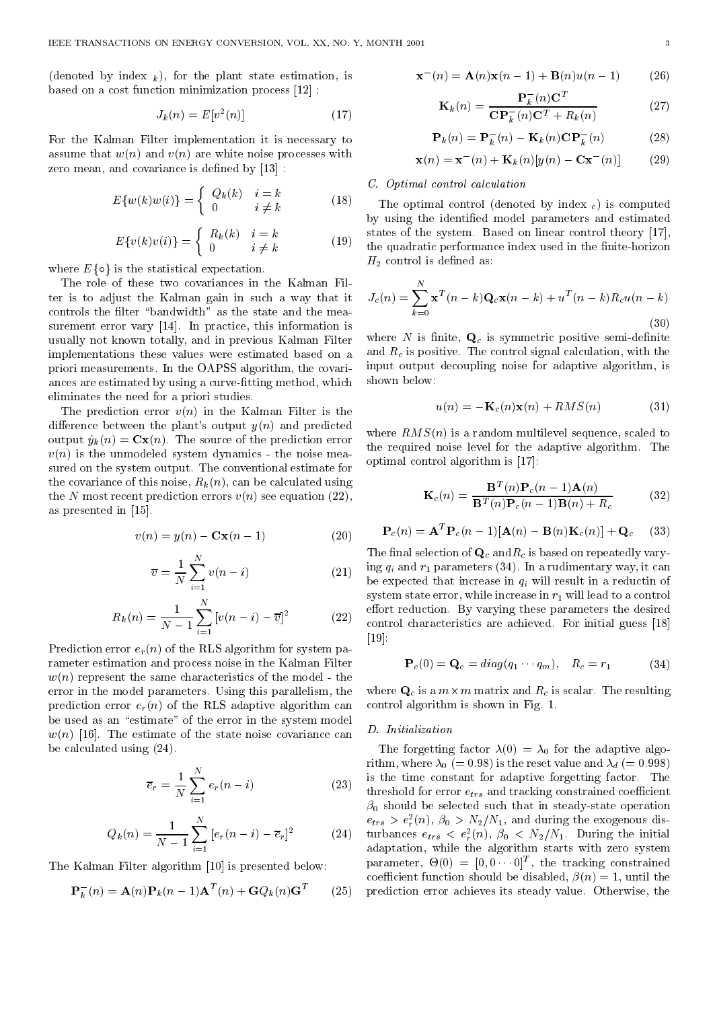$\lambda$  in the state box  $\lambda$  ), for the plants states estimation, is the plant state estimation, is the state of  $\lambda$ based on a cost function minimization process [12] :

$$
J_k(n) = E[v^2(n)]
$$
 (17)

For the Kalman Filter implementation it is necessary to assume that  $w(n)$  and  $v(n)$  are white noise processes with zero mean, and covariance is defined by  $[13]$ :

$$
E\{w(k)w(i)\} = \begin{cases} Q_k(k) & i = k \\ 0 & i \neq k \end{cases} \tag{18}
$$

$$
E\{v(k)v(i)\} = \begin{cases} R_k(k) & i = k \\ 0 & i \neq k \end{cases} \tag{19}
$$

where  $E\{\circ\}$  is the statistical expectation.

The role of these two covariances in the Kalman Filter is to adjust the Kalman gain in such a way that it controls the filter "bandwidth" as the state and the measurement error vary [14]. In practice, this information is usually not known totally, and in previous Kalman Filter implementations these values were estimated based on a priori measurements. In the OAPSS algorithm, the covariances are estimated by using a curve-fitting method, which eliminates the need for a priori studies.

The prediction error  $v(n)$  in the Kalman Filter is the difference between the plant's output  $y(n)$  and predicted output  $\hat{y}_k (n) = \mathbf{C}\mathbf{x}(n)$ . The source of the prediction error  $v(n)$  is the unmodeled system dynamics - the noise measured on the system output. The conventional estimate for the covariance of this noise,  $R_k(n)$ , can be calculated using the N most recent prediction errors  $v(n)$  see equation (22). as presented in [15].

$$
v(n) = y(n) - \mathbf{Cx}(n-1) \tag{20}
$$

$$
\overline{v} = \frac{1}{N} \sum_{i=1}^{N} v(n-i)
$$
 (21) 
$$
\frac{\text{ing}}{\text{be } \text{e}}
$$

$$
R_k(n) = \frac{1}{N-1} \sum_{i=1}^{N} \left[ v(n-i) - \overline{v} \right]^2 \tag{22}
$$

Prediction error  $e_r(n)$  of the RLS algorithm for system parameter estimation and process noise in the Kalman Filter  $w(n)$  represent the same characteristics of the model - the error in the model parameters. Using this parallelism, the prediction error  $e_r(n)$  of the RLS adaptive algorithm can be used as an "estimate" of the error in the system model  $w(n)$  [16]. The estimate of the state noise covariance can be calculated using (24).

$$
\overline{e}_r = \frac{1}{N} \sum_{i=1}^{N} e_r(n-i)
$$
 (23)

$$
Q_k(n) = \frac{1}{N-1} \sum_{i=1}^{N} [e_r(n-i) - \overline{e}_r]^2
$$
 (24)

The Kalman Filter algorithm [10] is presented below:

$$
\mathbf{P}_k^-(n) = \mathbf{A}(n)\mathbf{P}_k(n-1)\mathbf{A}^T(n) + \mathbf{G}Q_k(n)\mathbf{G}^T
$$
 (25)

$$
\mathbf{x}^{-}(n) = \mathbf{A}(n)\mathbf{x}(n-1) + \mathbf{B}(n)u(n-1) \qquad (26)
$$

$$
\mathbf{K}_k(n) = \frac{\mathbf{P}_k^-(n)\mathbf{C}^T}{\mathbf{C}\mathbf{P}_k^-(n)\mathbf{C}^T + R_k(n)}\tag{27}
$$

$$
\mathbf{P}_k(n) = \mathbf{P}_k^-(n) - \mathbf{K}_k(n)\mathbf{C}\mathbf{P}_k^-(n) \tag{28}
$$

$$
\mathbf{x}(n) = \mathbf{x}^-(n) + \mathbf{K}_k(n)[y(n) - \mathbf{C}\mathbf{x}^-(n)] \quad (29)
$$

### C. Optimal control calculation

 $\sqrt{2}$  The optimal control (denoted by index  $\epsilon$ ) is computed  $\sim$   $\sim$  the quadratic performance index used in the finite-horizon  $\sim$ by using the identied model parameters and estimated states of the system. Based on linear control theory [17],  $H_2$  control is defined as:

$$
J_c(n) = \sum_{k=0}^{N} \mathbf{x}^T(n-k) \mathbf{Q}_c \mathbf{x}(n-k) + u^T(n-k) R_c u(n-k)
$$
\n(30)

where  $N$  is finite,  $\mathbf{Q}_c$  is symmetric positive semi-definite and  $R_c$  is positive. The control signal calculation, with the input output decoupling noise for adaptive algorithm, is

$$
u(n) = -\mathbf{K}_c(n)\mathbf{x}(n) + RMS(n)
$$
 (31)

where  $RMS(n)$  is a random multilevel sequence, scaled to the required noise level for the adaptive algorithm. The optimal control algorithm is [17]:

$$
\mathbf{K}_c(n) = \frac{\mathbf{B}^T(n)\mathbf{P}_c(n-1)\mathbf{A}(n)}{\mathbf{B}^T(n)\mathbf{P}_c(n-1)\mathbf{B}(n) + R_c}
$$
(32)

$$
\mathbf{P}_c(n) = \mathbf{A}^T \mathbf{P}_c(n-1) [\mathbf{A}(n) - \mathbf{B}(n) \mathbf{K}_c(n)] + \mathbf{Q}_c \quad (33)
$$

 $\degree$   $\degree$  control characteristics are achieved. For initial guess [18] The final selection of  $\mathbf{Q}_c$  and  $R_c$  is based on repeatedly varying  $q_i$  and  $r_1$  parameters (34). In a rudimentary way, it can be expected that increase in  $q_i$  will result in a reductin of system state error, while increase in  $r_1$  will lead to a control effort reduction. By varying these parameters the desired [19]:

$$
\mathbf{P}_c(0) = \mathbf{Q}_c = diag(q_1 \cdots q_m), \quad R_c = r_1 \tag{34}
$$

where  $\mathbf{Q}_c$  is a  $m\times m$  matrix and  $R_c$  is scalar. The resulting control algorithm is shown in Fig. 1.

#### D. Initialization

 $(e_r(n-i))$  (23) threshold for error  $e_{trs}$  and tracking constrained coefficient (24) turbances  $e_{trs} < e_{r}^-(n)$ ,  $\rho_0 < N_2/N_1$ . During the initial (25) prediction error achieves its steady value. Otherwise, theThe forgetting factor  $\lambda(0) = \lambda_0$  for the adaptive algorithm, where  $\lambda_0$  (= 0.98) is the reset value and  $\lambda_d$  (= 0.998) is the time constant for adaptive forgetting factor. The  $\beta_0$  should be selected such that in steady-state operation  $e_{trs} > e_r(n)$ ,  $\rho_0 > \nu_2/\nu_1$ , and during the exogenous disadaptation, while the algorithm starts with zero system  $\text{parameter}, \ \Theta(0) = |0, 0| \cdot |0|^\tau, \ \text{the tracking constant}$ coefficient function should be disabled,  $\beta(n) = 1$ , until the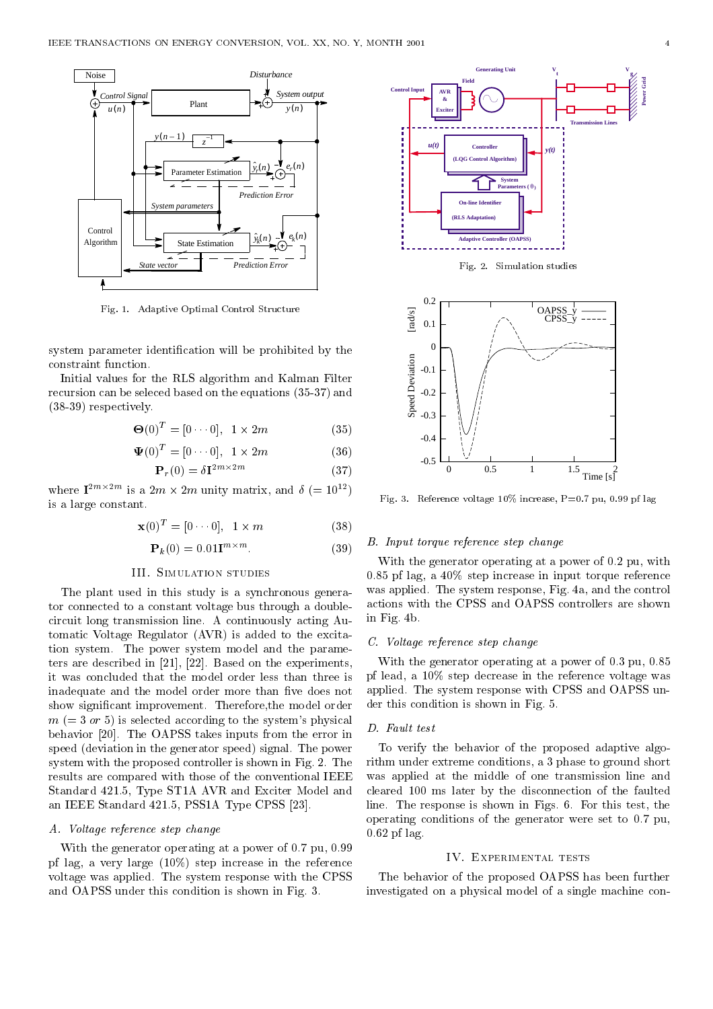

Fig. 1. Adaptive Optimal Control Structure

system parameter identication will be prohibited by the constraint function.

Initial values for the RLS algorithm and Kalman Filter recursion can be seleced based on the equations (35-37) and (38-39) respectively.

$$
\Theta(0)^T = [0 \cdots 0], \quad 1 \times 2m \tag{35}
$$

$$
\mathbf{\Psi}(0)^T = [0 \cdots 0], \quad 1 \times 2m \tag{36}
$$

$$
\mathbf{P}_r(0) = \delta \mathbf{I}^{2m \times 2m} \tag{37}
$$

where  $\mathbf{I}^{2m}$ <sup>2</sup> is a 2m × 2m unity matrix, and  $\delta$  (= 10<sup>12</sup>) is a large constant.

$$
\mathbf{x}(0)^T = [0 \cdots 0], \quad 1 \times m \tag{38}
$$

$$
\mathbf{P}_k(0) = 0.01 \mathbf{I}^{m \times m}.\tag{39}
$$

#### III. Simulation studies

The plant used in this study is a synchronous generator connected to a constant voltage bus through a doublecircuit long transmission line. A continuously acting Automatic Voltage Regulator (AVR) is added to the excitation system. The power system model and the parameters are described in [21], [22]. Based on the experiments, it was concluded that the model order less than three is inadequate and the model order more than five does not show signicant improvement. Therefore,the model order  $m (= 3 \text{ or } 5)$  is selected according to the system's physical  $\Box$ behavior [20]. The OAPSS takes inputs from the error in speed (deviation in the generator speed) signal. The power system with the proposed controller is shown in Fig. 2. The results are compared with those of the conventional IEEE Standard 421.5, Type ST1A AVR and Exciter Model and an IEEE Standard 421.5, PSS1A Type CPSS [23].

# A. Voltage reference step change

With the generator operating at a power of 0.7 pu, 0.99 pf lag, a very large (10%) step increase in the reference voltage was applied. The system response with the CPSS and OAPSS under this condition is shown in Fig. 3.



Fig. 3. Reference voltage  $10\%$  increase, P=0.7 pu, 0.99 pf lag

0 0.5 1 1.5  $^{2}$ 

Time [s]

#### B. Input torque reference step change

-0.5

With the generator operating at a power of 0.2 pu, with 0.85 pf lag, a 40% step increase in input torque reference was applied. The system response, Fig. 4a, and the control actions with the CPSS and OAPSS controllers are shown in Fig. 4b.

# C. Voltage reference step change

With the generator operating at a power of 0.3 pu, 0.85 pf lead, a 10% step decrease in the reference voltage was applied. The system response with CPSS and OAPSS under this condition is shown in Fig. 5.

# D. Fault test

To verify the behavior of the proposed adaptive algorithm under extreme conditions, a 3 phase to ground short was applied at the middle of one transmission line and cleared 100 ms later by the disconnection of the faulted line. The response is shown in Figs. 6. For this test, the operating conditions of the generator were set to 0.7 pu, 0.62 pf lag.

# IV. Experimental tests

The behavior of the proposed OAPSS has been further investigated on a physical model of a single machine con-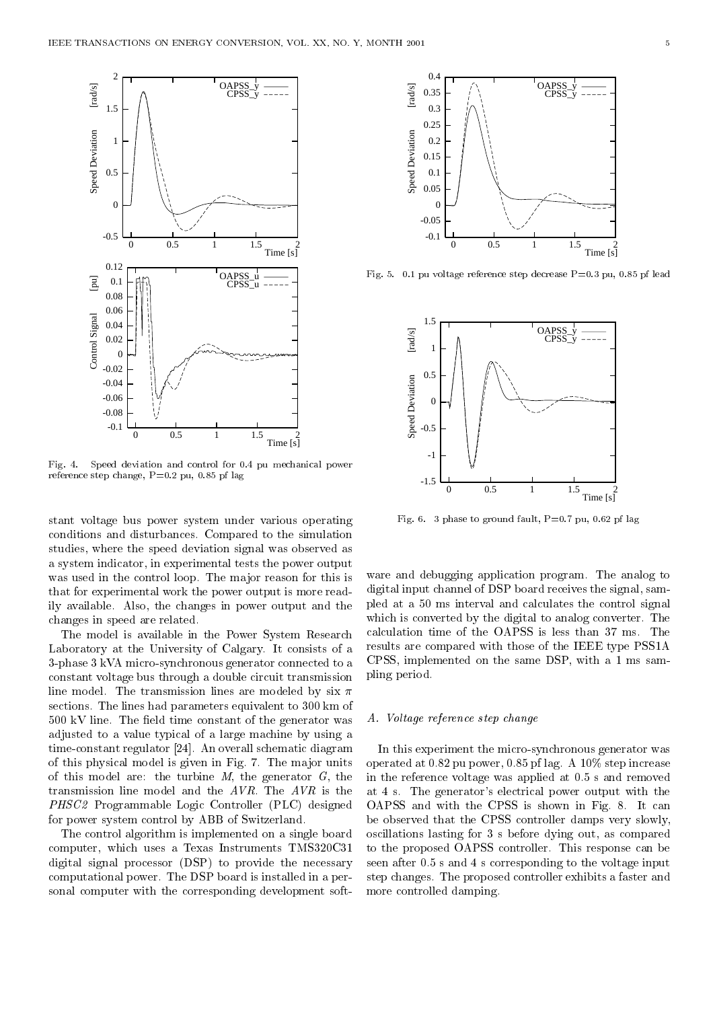

Fig. 4. Speed deviation and control for 0.4 pu mechanical power reference step change, P=0.2 pu, 0.85 pf lag

stant voltage bus power system under various operating conditions and disturbances. Compared to the simulation studies, where the speed deviation signal was observed as a system indicator, in experimental tests the power output was used in the control loop. The major reason for this is that for experimental work the power output is more readily available. Also, the changes in power output and the changes in speed are related.

The model is available in the Power System Research Laboratory at the University of Calgary. It consists of a 3-phase 3 kVA micro-synchronous generator connected to a constant voltage bus through a double circuit transmission line model. The transmission lines are modeled by six  $\pi$ sections. The lines had parameters equivalent to 300 km of  $500 \text{ kV}$  line. The field time constant of the generator was adjusted to a value typical of a large machine by using a time-constant regulator [24]. An overall schematic diagram of this physical model is given in Fig. 7. The ma jor units of this model are: the turbine  $M$ , the generator  $G$ , the transmission line model and the AVR. The AVR is the PHSC2 Programmable Logic Controller (PLC) designed for power system control by ABB of Switzerland.

The control algorithm is implemented on a single board computer, which uses a Texas Instruments TMS320C31 digital signal processor (DSP) to provide the necessary computational power. The DSP board is installed in a personal computer with the corresponding development soft-



Fig. 5. 0.1 pu voltage reference step decrease P=0.3 pu, 0.85 pf lead



Fig. 6. 3 phase to ground fault,  $P=0.7$  pu, 0.62 pf lag

ware and debugging application program. The analog to digital input channel of DSP board receives the signal, sampled ata 50 ms interval and calculates the control signal which is converted by the digital to analog converter. The calculation time of the OAPSS is less than 37 ms. The results are compared with those of the IEEE type PSS1A CPSS, implemented on the same DSP, with a 1 ms sampling period.

#### A. Voltage reference step change

In this experiment the micro-synchronous generator was operated at 0.82 pu power, 0.85 pf lag. A 10% step increase in the reference voltage was applied at 0.5 s and removed at 4 s. The generator's electrical power output with the OAPSS and with the CPSS is shown in Fig. 8. It can be observed that the CPSS controller damps very slowly, oscillations lasting for 3 sbefore dying out, as compared to the proposed OAPSS controller. This response can be seen after 0.5 s and 4 s corresponding to the voltage input step changes. The proposed controller exhibits a faster and more controlled damping.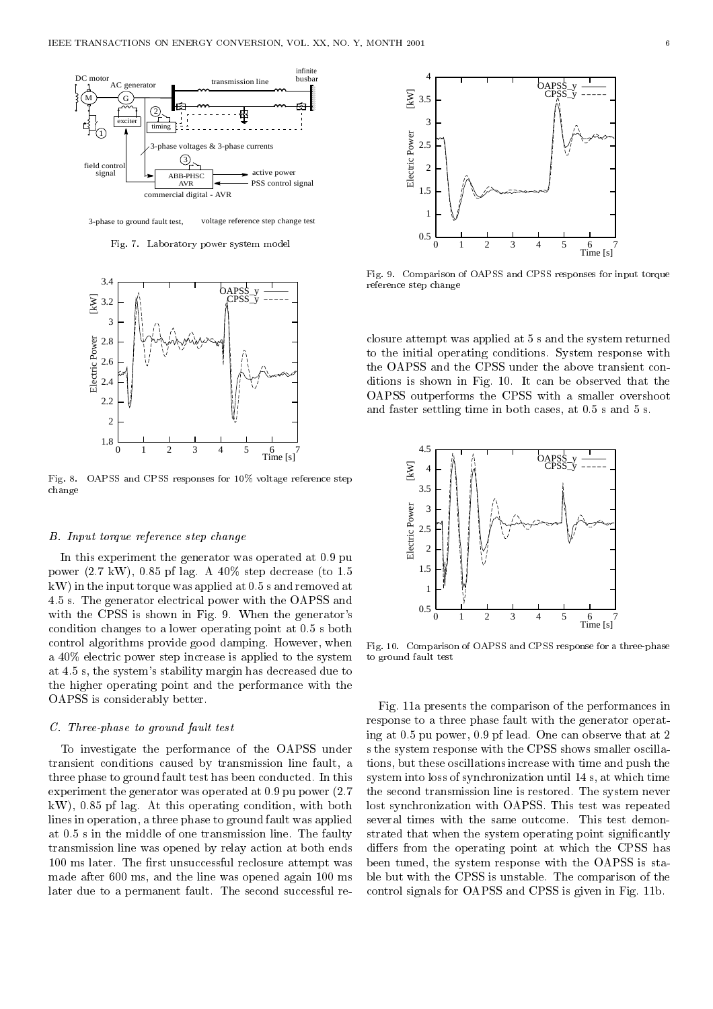

Fig. 7. Laboratory power system model



Fig. 8. OAPSS and CPSS responses for 10% voltage reference step change

#### B. Input torque reference step change

In this experiment the generator was operated at 0.9 pu power (2.7 kW), 0.85 pf lag. A 40% step decrease (to 1.5 kW) in the input torque was applied at 0.5 s and removed at 4.5 s. The generator electrical power with the OAPSS and with the CPSS is shown in Fig. 9. When the generator's condition changes to a lower operating point at 0.5 s both control algorithms provide good damping. However, when a 40% electric power step increase is applied to the system at 4.5 s, the system's stability margin has decreased due to the higher operating point and the performance with the OAPSS is considerably better.

#### C. Three-phase to ground fault test

To investigate the performance of the OAPSS under transient conditions caused by transmission line fault, a three phase to ground fault test has been conducted. In this experiment the generator was operated at 0.9 pu power (2.7 kW), 0.85 pf lag. At this operating condition, with both lines in operation, a three phase to ground fault was applied at 0.5 s in the middle of one transmission line. The faulty transmission line was opened by relay action at both ends 100 ms later. The first unsuccessful reclosure attempt was made after 600 ms, and the line was opened again 100 ms later due to a permanent fault. The second successful re-



Fig. 9. Comparison of OAPSS and CPSS responses for input torque reference step change

closure attempt was applied at 5 s and the system returned to the initial operating conditions. System response with the OAPSS and the CPSS under the above transient conditions is shown in Fig. 10. It can be observed that the OAPSS outperforms the CPSS with a smaller overshoot and faster settling time in both cases, at 0.5 s and 5 s.



Fig. 10. Comparison of OAPSS and CPSS response for a three-phase to ground fault test

Fig. 11a presents the comparison of the performances in response to a three phase fault with the generator operating at 0.5 pu power, 0.9 pf lead. One can observe that at 2 s the system response with the CPSS shows smaller oscillations, but these oscillations increase with time and push the system into loss of synchronization until 14 s, at which time the second transmission line is restored. The system never lost synchronization with OAPSS. This test was repeated several times with the same outcome. This test demonstrated that when the system operating point significantly differs from the operating point at which the CPSS has been tuned, the system response with the OAPSS is stable but with the CPSS is unstable. The comparison of the control signals for OAPSS and CPSS is given in Fig. 11b.